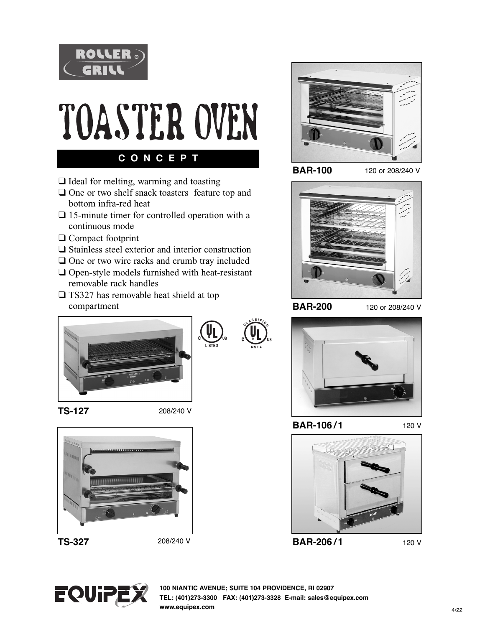

## TOASTER OVEN

**C O N C E P T**

- $\Box$  Ideal for melting, warming and toasting  $\Box$  One or two shelf snack toasters feature top and
- bottom infra-red heat  $\Box$  15-minute timer for controlled operation with a continuous mode
- $\Box$  Compact footprint
- $\Box$  Stainless steel exterior and interior construction
- $\Box$  One or two wire racks and crumb tray included
- $\Box$  Open-style models furnished with heat-resistant removable rack handles
- $\square$  TS327 has removable heat shield at top compartment



**BAR-100** 

120 or 208/240 V



**BAR-200** 

120 or 208/240 V



**TS-127** 

208/240 V



208/240 V



®



**BAR-106 / 1** 

120 V



120 V



**100 NIANTIC AVENUE; SUITE 104 PROVIDENCE, RI 02907 TEL: (401)273-3300 FAX: (401)273-3328 E-mail: sales@equipex.com www.equipex.com**